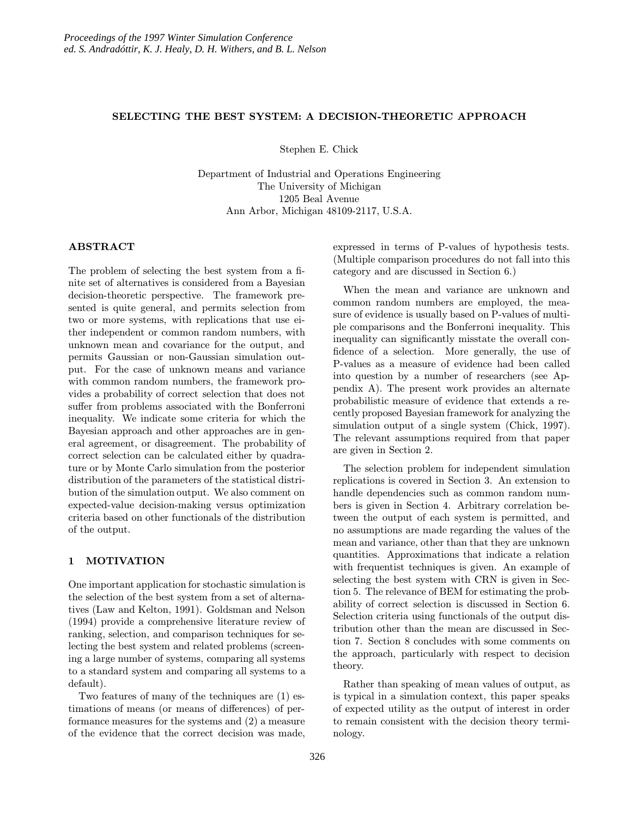## SELECTING THE BEST SYSTEM: A DECISION-THEORETIC APPROACH

Stephen E. Chick

Department of Industrial and Operations Engineering The University of Michigan 1205 Beal Avenue Ann Arbor, Michigan 48109-2117, U.S.A.

# ABSTRACT

The problem of selecting the best system from a finite set of alternatives is considered from a Bayesian decision-theoretic perspective. The framework presented is quite general, and permits selection from two or more systems, with replications that use either independent or common random numbers, with unknown mean and covariance for the output, and permits Gaussian or non-Gaussian simulation output. For the case of unknown means and variance with common random numbers, the framework provides a probability of correct selection that does not suffer from problems associated with the Bonferroni inequality. We indicate some criteria for which the Bayesian approach and other approaches are in general agreement, or disagreement. The probability of correct selection can be calculated either by quadrature or by Monte Carlo simulation from the posterior distribution of the parameters of the statistical distribution of the simulation output. We also comment on expected-value decision-making versus optimization criteria based on other functionals of the distribution of the output.

### 1 MOTIVATION

One important application for stochastic simulationis the selection of the best system from a set of alternatives (Law and Kelton, 1991). Goldsman and Nelson (1994) provide a comprehensive literature review of ranking, selection, and comparison techniques for selecting the best system and related problems (screening a large number of systems, comparing all systems to a standard system and comparing all systems to a default).

Two features of many of the techniques are (1) estimations of means (or means of differences) of performance measures for the systems and (2) a measure of the evidence that the correct decision was made, expressed in terms of P-values of hypothesis tests. (Multiple comparison procedures do not fall into this category and are discussed in Section 6.)

When the mean and variance are unknown and common random numbers are employed, the measure of evidence is usually based on P-values of multiple comparisons and the Bonferroni inequality. This inequality can significantly misstate the overall confidence of a selection. More generally, the use of P-values as a measure of evidence had been called into question by a number of researchers (see Appendix A). The present work provides an alternate probabilistic measure of evidence that extends a recently proposed Bayesian framework for analyzing the simulation output of a single system (Chick, 1997). The relevant assumptions required from that paper are given in Section 2.

The selection problem for independent simulation replications is covered in Section 3. An extension to handle dependencies such as common random numbers is given in Section 4. Arbitrary correlation between the output of each system is permitted, and no assumptions are made regarding the values of the mean and variance, other than that they are unknown quantities. Approximations that indicate a relation with frequentist techniques is given. An example of selecting the best system with CRN is given in Section 5. The relevance of BEM for estimating the probability of correct selection is discussed in Section 6. Selection criteria using functionals of the output distribution other than the mean are discussed in Section 7. Section 8 concludes with some comments on the approach, particularly with respect to decision theory.

Rather than speaking of mean values of output, as is typical in a simulation context, this paper speaks of expected utility as the output of interest in order to remain consistent with the decision theory terminology.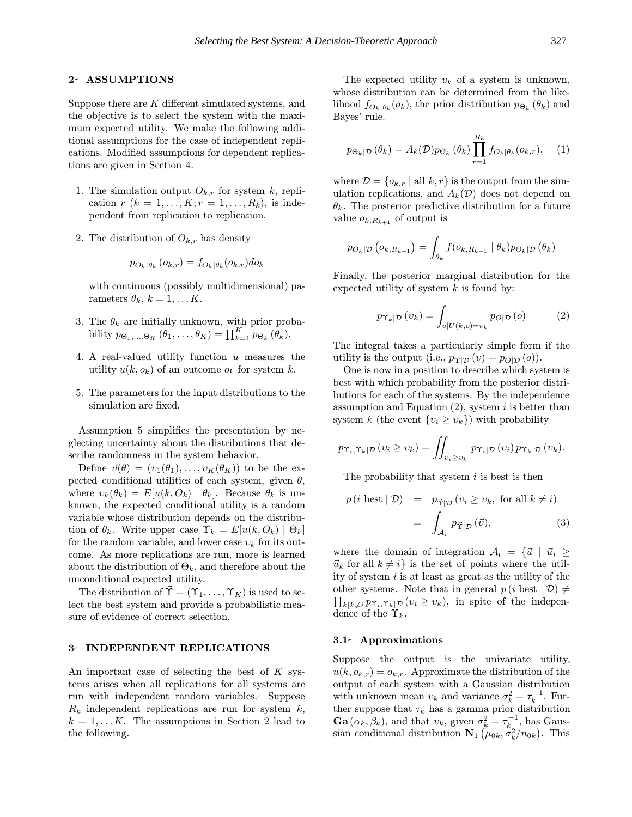# 2- ASSUMPTIONS

Suppose there are  $K$  different simulated systems, and the objective is to select the system with the maximum expected utility. We make the following additional assumptions for the case of independent replications. Modified assumptions for dependent replications are given in Section 4.

- 1. The simulation output  $O_{k,r}$  for system k, replication  $r (k = 1, ..., K; r = 1, ..., R_k)$ , is independent from replication to replication.
- 2. The distribution of  $O_{k,r}$  has density

$$
p_{O_k|\theta_k}(o_{k,r}) = f_{O_k|\theta_k}(o_{k,r})do_k
$$

with continuous (possibly multidimensional) parameters  $\theta_k$ ,  $k = 1, \ldots K$ .

- 3. The  $\theta_k$  are initially unknown, with prior probability  $p_{\Theta_1,...,\Theta_K}(\theta_1,...,\theta_K) = \prod_{k=1}^K p_{\Theta_k}(\theta_k)$ .
- 4. A real-valued utility function  $u$  measures the utility  $u(k, o_k)$  of an outcome  $o_k$  for system k.
- 5. The parameters for the input distributions to the simulation are fixed.

Assumption 5 simplifies the presentation by neglecting uncertainty about the distributions that describe randomness in the system behavior.

Define  $\vec{v}(\theta) = (v_1(\theta_1), \ldots, v_K(\theta_K))$  to be the expected conditional utilities of each system, given  $\theta$ , where  $v_k(\theta_k) = E[u(k, O_k) | \theta_k]$ . Because  $\theta_k$  is unknown, the expected conditional utility is a random variable whose distribution depends on the distribution of  $\theta_k$ . Write upper case  $\Upsilon_k = E[u(k, O_k) | \Theta_k]$ for the random variable, and lower case  $v_k$  for its outcome. As more replications are run, more is learned about the distribution of  $\Theta_k$ , and therefore about the unconditional expected utility.

The distribution of  $\tilde{\Upsilon} = (\Upsilon_1, \ldots, \Upsilon_K)$  is used to select the best system and provide a probabilistic measure of evidence of correct selection.

#### 3 INDEPENDENT REPLICATIONS

An important case of selecting the best of  $K$  systems arises when all replications for all systems are run with independent random variables. Suppose  $R_k$  independent replications are run for system  $k$ ,  $k = 1, \ldots K$ . The assumptions in Section 2 lead to the following.

The expected utility  $v_k$  of a system is unknown, whose distribution can be determined from the likelihood  $f_{O_k | \theta_k}(o_k)$ , the prior distribution  $p_{\Theta_k}(\theta_k)$  and Bayes' rule.

$$
p_{\Theta_k|\mathcal{D}}(\theta_k) = A_k(\mathcal{D})p_{\Theta_k}(\theta_k)\prod_{r=1}^{R_k} f_{O_k|\theta_k}(o_{k,r}), \quad (1)
$$

where  $\mathcal{D} = \{o_{k,r} \mid \text{all } k, r\}$  is the output from the simulation replications, and  $A_k(\mathcal{D})$  does not depend on  $\theta_k$ . The posterior predictive distribution for a future value  $o_{k,R_{k+1}}$  of output is

$$
p_{O_k|\mathcal{D}}\left(o_{k,R_{k+1}}\right)=\int_{\theta_k}f(o_{k,R_{k+1}}\mid\theta_k)p_{\Theta_k|\mathcal{D}}\left(\theta_k\right)
$$

Finally, the posterior marginal distribution for the expected utility of system  $k$  is found by:

$$
p_{\Upsilon_k|\mathcal{D}}(v_k) = \int_{o|U(k,o)=v_k} p_{O|\mathcal{D}}(o) \tag{2}
$$

The integral takes a particularly simple form if the utility is the output (i.e.,  $p_{\Upsilon|\mathcal{D}}(v) = p_{O|\mathcal{D}}(o)$ ).

One is now in a position to describe which system is best with which probability from the posterior distributions for each of the systems. By the independence assumption and Equation  $(2)$ , system i is better than system k (the event  $\{v_i \geq v_k\}$ ) with probability

$$
p_{\Upsilon_i,\Upsilon_k|\mathcal{D}}(v_i \geq v_k) = \iint_{v_i \geq v_k} p_{\Upsilon_i|\mathcal{D}}(v_i) p_{\Upsilon_k|\mathcal{D}}(v_k).
$$

The probability that system  $i$  is best is then

$$
p(i \text{ best} | \mathcal{D}) = p_{\vec{\Upsilon} | \mathcal{D}} (v_i \ge v_k, \text{ for all } k \neq i)
$$

$$
= \int_{\mathcal{A}_i} p_{\vec{\Upsilon} | \mathcal{D}} (\vec{v}), \tag{3}
$$

where the domain of integration  $A_i = \{\vec{u} \mid \vec{u}_i \geq$  $\vec{u}_k$  for all  $k \neq i$  is the set of points where the utility of system  $i$  is at least as great as the utility of the  $\prod_{k|k\neq i} p_{\Upsilon_i,\Upsilon_k|\mathcal{D}} (v_i \geq v_k)$ , in spite of the indepenother systems. Note that in general  $p(i \text{ best } | \mathcal{D}) \neq$ dence of the  $\Upsilon_k$ .

### 3.1 Approximations

Suppose the output is the univariate utility,  $u(k, o_{k,r}) = o_{k,r}$ . Approximate the distribution of the output of each system with a Gaussian distribution with unknown mean  $v_k$  and variance  $\sigma_k^2 = \tau_k^{-1}$ . Further suppose that  $\tau_k$  has a gamma prior distribution  $\textbf{Ga}(\alpha_k, \beta_k)$ , and that  $v_k$ , given  $\sigma_k^2 = \tau_{k_\text{A}}^{-1}$ , has Gaussian conditional distribution  $\mathbf{N}_1\left(\mu_{0k}, \sigma_k^2/n_{0k}\right)$ . This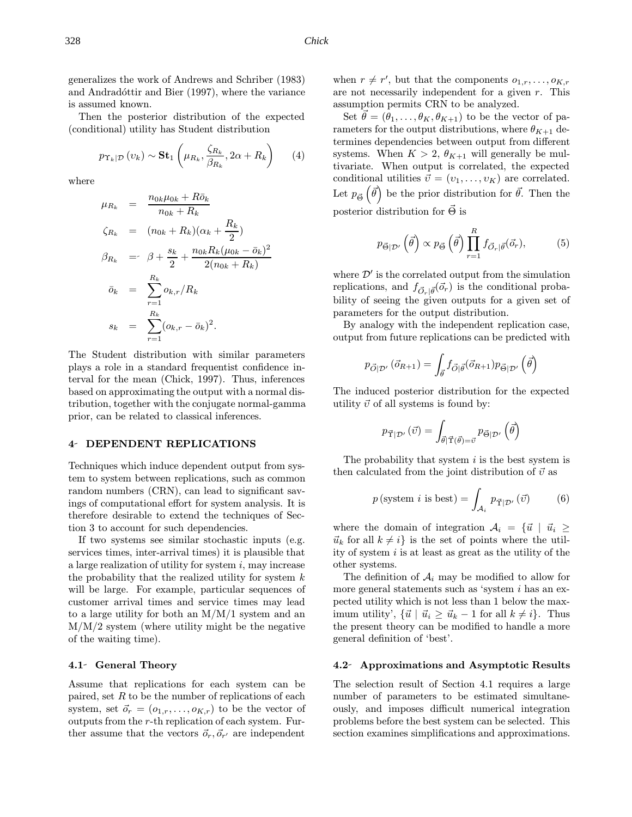Then the posterior distribution of the expected (conditional) utility has Student distribution

$$
p_{\Upsilon_k|\mathcal{D}}\left(v_k\right) \sim \mathbf{St}_1\left(\mu_{R_k}, \frac{\zeta_{R_k}}{\beta_{R_k}}, 2\alpha + R_k\right) \tag{4}
$$

where

$$
\mu_{R_k} = \frac{n_{0k}\mu_{0k} + R\bar{o}_k}{n_{0k} + R_k}
$$
\n
$$
\zeta_{R_k} = (n_{0k} + R_k)(\alpha_k + \frac{R_k}{2})
$$
\n
$$
\beta_{R_k} = \beta + \frac{s_k}{2} + \frac{n_{0k}R_k(\mu_{0k} - \bar{o}_k)^2}{2(n_{0k} + R_k)}
$$
\n
$$
\bar{o}_k = \sum_{r=1}^{R_k} o_{k,r}/R_k
$$
\n
$$
s_k = \sum_{r=1}^{R_k} (o_{k,r} - \bar{o}_k)^2.
$$

The Student distribution with similar parameters plays a role in a standard frequentist confidence interval for the mean (Chick, 1997). Thus, inferences based on approximating the output with a normal distribution, together with the conjugate normal-gamma prior, can be related to classical inferences.

#### 4 DEPENDENT REPLICATIONS

Techniques which induce dependent output from system to system between replications, such as common random numbers (CRN), can lead to significant savings of computational effort for system analysis. It is therefore desirable to extend the techniques of Section 3 to account for such dependencies.

If two systems see similar stochastic inputs (e.g. services times, inter-arrival times) it is plausible that a large realization of utility for system  $i$ , may increase the probability that the realized utility for system  $k$ will be large. For example, particular sequences of customer arrival times and service times may lead to a large utility for both an M/M/1 system and an  $M/M/2$  system (where utility might be the negative of the waiting time).

### 4.1- General Theory

Assume that replications for each system can be paired, set  $R$  to be the number of replications of each system, set  $\vec{o}_r = (o_{1,r}, \ldots, o_{K,r})$  to be the vector of outputs from the r-th replication of each system. Further assume that the vectors  $\vec{o}_r, \vec{o}_{r'}$  are independent

when  $r \neq r'$ , but that the components  $o_{1,r},\ldots,o_{K,r}$ are not necessarily independent for a given r. This assumption permits CRN to be analyzed.

Set  $\vec{\theta} = (\theta_1,\ldots,\theta_K,\theta_{K+1})$  to be the vector of parameters for the output distributions, where  $\theta_{K+1}$  determines dependencies between output from different systems. When  $K > 2$ ,  $\theta_{K+1}$  will generally be multivariate. When output is correlated, the expected conditional utilities  $\vec{v} = (v_1, \ldots, v_K)$  are correlated. Let  $p_{\vec{\Theta}}\left(\vec{\theta}\right)$  be the prior distribution for  $\vec{\theta}$ . Then the posterior distribution for  $\vec{\Theta}$  is

$$
p_{\vec{\Theta}|\mathcal{D}'}\left(\vec{\theta}\right) \propto p_{\vec{\Theta}}\left(\vec{\theta}\right) \prod_{r=1}^{R} f_{\vec{O}_r|\vec{\theta}}(\vec{o}_r),\tag{5}
$$

where  $\mathcal{D}'$  is the correlated output from the simulation replications, and  $f_{\vec{O}_r|\vec{\theta}}(\vec{o}_r)$  is the conditional probability of seeing the given outputs for a given set of parameters for the output distribution.

By analogy with the independent replication case, output from future replications can be predicted with

$$
p_{\vec{O}|\mathcal{D}'}(\vec{o}_{R+1}) = \int_{\vec{\theta}} f_{\vec{O}|\vec{\theta}}(\vec{o}_{R+1}) p_{\vec{\Theta}|\mathcal{D}'}(\vec{\theta})
$$

The induced posterior distribution for the expected utility  $\vec{v}$  of all systems is found by:

$$
p_{\vec{\Upsilon}|\mathcal{D}'}(\vec{v}) = \int_{\vec{\theta}|\vec{\Upsilon}(\vec{\theta}) = \vec{v}} p_{\vec{\Theta}|\mathcal{D}'}(\vec{\theta})
$$

The probability that system  $i$  is the best system is then calculated from the joint distribution of  $\vec{v}$  as

$$
p(\text{system } i \text{ is best}) = \int_{\mathcal{A}_i} p_{\vec{\Upsilon}|\mathcal{D}'}(\vec{v}) \tag{6}
$$

where the domain of integration  $A_i = \{\vec{u} \mid \vec{u}_i \geq$  $\vec{u}_k$  for all  $k \neq i$  is the set of points where the utility of system  $i$  is at least as great as the utility of the other systems.

The definition of  $A_i$  may be modified to allow for more general statements such as 'system  $i$  has an expected utility which is not less than 1 below the maximum utility',  $\{\vec{u} \mid \vec{u}_i \geq \vec{u}_k - 1 \text{ for all } k \neq i\}.$  Thus the present theory can be modified to handle a more general definition of 'best'.

### 4.2 Approximations and Asymptotic Results

The selection result of Section 4.1 requires a large number of parameters to be estimated simultaneously, and imposes difficult numerical integration problems before the best system can be selected. This section examines simplifications and approximations.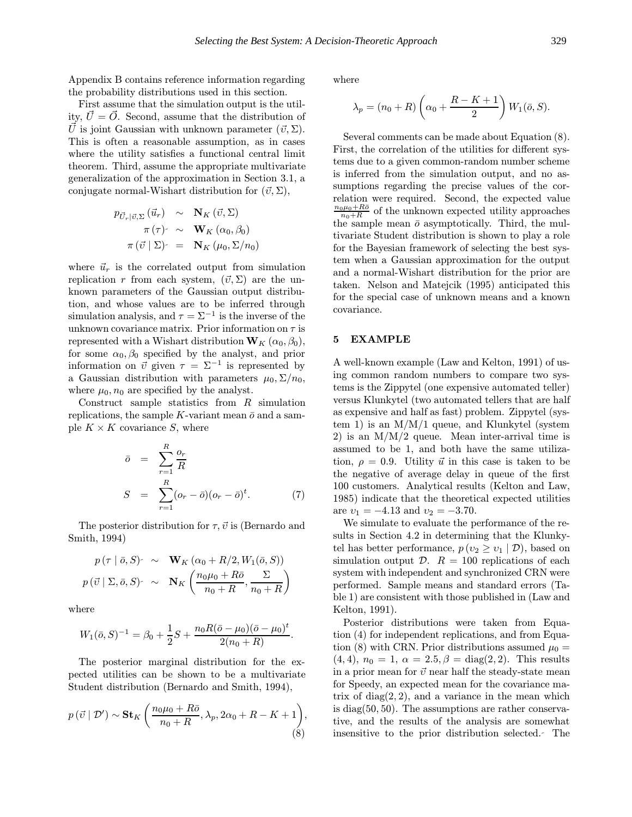Appendix B contains reference information regarding the probability distributions used in this section.

First assume that the simulation output is the utility,  $\vec{U} = \vec{O}$ . Second, assume that the distribution of  $\vec{U}$  is joint Gaussian with unknown parameter  $(\vec{v}, \Sigma)$ . This is often a reasonable assumption, as in cases where the utility satisfies a functional central limit theorem. Third, assume the appropriate multivariate generalization of the approximation in Section 3.1, a conjugate normal-Wishart distribution for  $(\vec{v}, \Sigma)$ ,

$$
p_{\vec{U}_r|\vec{v},\Sigma}(\vec{u}_r) \sim \mathbf{N}_K(\vec{v},\Sigma)
$$

$$
\pi(\tau) \sim \mathbf{W}_K(\alpha_0,\beta_0)
$$

$$
\pi(\vec{v} | \Sigma) = \mathbf{N}_K(\mu_0,\Sigma/n_0)
$$

where  $\vec{u}_r$  is the correlated output from simulation replication r from each system,  $(\vec{v}, \Sigma)$  are the unknown parameters of the Gaussian output distribution, and whose values are to be inferred through simulation analysis, and  $\tau = \Sigma^{-1}$  is the inverse of the unknown covariance matrix. Prior information on  $\tau$  is represented with a Wishart distribution  $W_K(\alpha_0, \beta_0)$ , for some  $\alpha_0, \beta_0$  specified by the analyst, and prior information on  $\vec{v}$  given  $\tau = \Sigma^{-1}$  is represented by a Gaussian distribution with parameters  $\mu_0$ ,  $\Sigma/n_0$ , where  $\mu_0$ ,  $n_0$  are specified by the analyst.

Construct sample statistics from  $R$  simulation replications, the sample K-variant mean  $\bar{o}$  and a sample  $K \times K$  covariance S, where

$$
\begin{array}{rcl}\n\bar{o} & = & \sum_{r=1}^{R} \frac{o_r}{R} \\
S & = & \sum_{r=1}^{R} (o_r - \bar{o})(o_r - \bar{o})^t.\n\end{array} \tag{7}
$$

The posterior distribution for  $\tau$ ,  $\vec{v}$  is (Bernardo and Smith, 1994)

$$
p(\tau | \bar{o}, S) \sim \mathbf{W}_K (\alpha_0 + R/2, W_1(\bar{o}, S))
$$
  

$$
p(\vec{v} | \Sigma, \bar{o}, S) \sim \mathbf{N}_K \left( \frac{n_0 \mu_0 + R \bar{o}}{n_0 + R}, \frac{\Sigma}{n_0 + R} \right)
$$

where

$$
W_1(\bar{\sigma}, S)^{-1} = \beta_0 + \frac{1}{2}S + \frac{n_0 R(\bar{\sigma} - \mu_0)(\bar{\sigma} - \mu_0)^t}{2(n_0 + R)}.
$$

The posterior marginal distribution for the expected utilities can be shown to be a multivariate Student distribution (Bernardo and Smith, 1994),

$$
p(\vec{v} \mid \mathcal{D}') \sim \mathbf{St}_K\left(\frac{n_0\mu_0 + R\bar{o}}{n_0 + R}, \lambda_p, 2\alpha_0 + R - K + 1\right),\tag{8}
$$

where

$$
\lambda_p = (n_0 + R) \left( \alpha_0 + \frac{R - K + 1}{2} \right) W_1(\bar{o}, S).
$$

Several comments can be made about Equation (8). First, the correlation of the utilities for different systems due to a given common-random number scheme is inferred from the simulation output, and no assumptions regarding the precise values of the correlation were required. Second, the expected value  $\frac{n_0\mu_0+R\bar{\rho}}{n_0+R}$  of the unknown expected utility approaches the sample mean  $\bar{o}$  asymptotically. Third, the multivariate Student distribution is shown to play a role for the Bayesian framework of selecting the best system when a Gaussian approximation for the output and a normal-Wishart distribution for the prior are taken. Nelson and Matejcik (1995) anticipated this for the special case of unknown means and a known covariance.

### 5 EXAMPLE

A well-known example (Law and Kelton, 1991) of using common random numbers to compare two systems is the Zippytel (one expensive automated teller) versus Klunkytel (two automated tellers that are half as expensive and half as fast) problem. Zippytel (system 1) is an  $M/M/1$  queue, and Klunkytel (system 2) is an  $M/M/2$  queue. Mean inter-arrival time is assumed to be 1, and both have the same utilization,  $\rho = 0.9$ . Utility  $\vec{u}$  in this case is taken to be the negative of average delay in queue of the first 100 customers. Analytical results (Kelton and Law, 1985) indicate that the theoretical expected utilities are  $v_1 = -4.13$  and  $v_2 = -3.70$ .

We simulate to evaluate the performance of the results in Section 4.2 in determining that the Klunkytel has better performance,  $p(v_2 \ge v_1 | \mathcal{D})$ , based on simulation output  $\mathcal{D}$ .  $R = 100$  replications of each system with independent and synchronized CRN were performed. Sample means and standard errors (Table 1) are consistent with those published in (Law and Kelton, 1991).

Posterior distributions were taken from Equation (4) for independent replications, and from Equation (8) with CRN. Prior distributions assumed  $\mu_0 =$  $(4, 4), n_0 = 1, \alpha = 2.5, \beta = \text{diag}(2, 2).$  This results in a prior mean for  $\vec{v}$  near half the steady-state mean for Speedy, an expected mean for the covariance matrix of  $diag(2, 2)$ , and a variance in the mean which is diag(50, 50). The assumptions are rather conservative, and the results of the analysis are somewhat insensitive to the prior distribution selected. The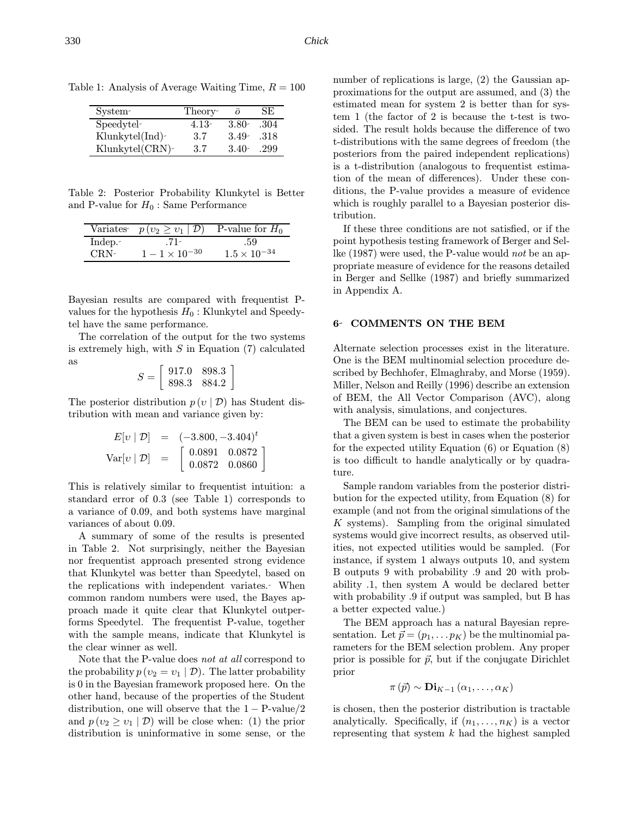| System-        | Theory- |          | SE.  |
|----------------|---------|----------|------|
| Speedytel-     | $4.13-$ | $3.80 -$ | .304 |
| Klunkytel(Ind) | 3.7     | $3.49 -$ | -318 |
| Klunkytel(CRN) | 3.7     | $3.40-$  | .299 |

Table 1: Analysis of Average Waiting Time,  $R = 100$ 

Table 2: Posterior Probability Klunkytel is Better and P-value for  $H_0$ : Same Performance

|               | Variates $p(v_2 \ge v_1   \mathcal{D})$ | P-value for $H_0$     |
|---------------|-----------------------------------------|-----------------------|
| Indep. $\sim$ | T                                       |                       |
| CRN-          | $1 - 1 \times 10^{-30}$                 | $1.5 \times 10^{-34}$ |

Bayesian results are compared with frequentist Pvalues for the hypothesis  $H_0$ : Klunkytel and Speedytel have the same performance.

The correlation of the output for the two systems is extremely high, with  $S$  in Equation  $(7)$  calculated as

$$
S = \left[ \begin{array}{cc} 917.0 & 898.3 \\ 898.3 & 884.2 \end{array} \right]
$$

The posterior distribution  $p(v | \mathcal{D})$  has Student distribution with mean and variance given by:

$$
E[v | \mathcal{D}] = (-3.800, -3.404)^{t}
$$
  
Var[v | \mathcal{D}] = 
$$
\begin{bmatrix} 0.0891 & 0.0872 \\ 0.0872 & 0.0860 \end{bmatrix}
$$

This is relatively similar to frequentist intuition: a standard error of 0.3 (see Table 1) corresponds to a variance of 0.09, and both systems have marginal variances of about 0.09.

A summary of some of the results is presented in Table 2. Not surprisingly, neither the Bayesian nor frequentist approach presented strong evidence that Klunkytel was better than Speedytel, based on the replications with independent variates. When common random numbers were used, the Bayes approach made it quite clear that Klunkytel outperforms Speedytel. The frequentist P-value, together with the sample means, indicate that Klunkytel is the clear winner as well.

Note that the P-value does not at all correspond to the probability  $p(v_2 = v_1 | \mathcal{D})$ . The latter probability is 0 in the Bayesian framework proposed here. On the other hand, because of the properties of the Student distribution, one will observe that the  $1 - P$ -value $/2$ and  $p(v_2 \geq v_1 | \mathcal{D})$  will be close when: (1) the prior distribution is uninformative in some sense, or the number of replications is large, (2) the Gaussian approximations for the output are assumed, and (3) the estimated mean for system 2 is better than for system 1 (the factor of 2 is because the t-test is twosided. The result holds because the difference of two t-distributions with the same degrees of freedom (the posteriors from the paired independent replications) is a t-distribution (analogous to frequentist estimation of the mean of differences). Under these conditions, the P-value provides a measure of evidence which is roughly parallel to a Bayesian posterior distribution.

If these three conditions are not satisfied, or if the point hypothesis testing framework of Berger and Sellke (1987) were used, the P-value would not be an appropriate measure of evidence for the reasons detailed in Berger and Sellke (1987) and briefly summarized in Appendix A.

## 6 COMMENTS ON THE BEM

Alternate selection processes exist in the literature. One is the BEM multinomial selection procedure described by Bechhofer, Elmaghraby, and Morse (1959). Miller, Nelson and Reilly (1996) describe an extension of BEM, the All Vector Comparison (AVC), along with analysis, simulations, and conjectures.

The BEM can be used to estimate the probability that a given system is best in cases when the posterior for the expected utility Equation (6) or Equation (8) is too difficult to handle analytically or by quadrature.

Sample random variables from the posterior distribution for the expected utility, from Equation (8) for example (and not from the original simulations of the K systems). Sampling from the original simulated systems would give incorrect results, as observed utilities, not expected utilities would be sampled. (For instance, if system 1 always outputs 10, and system B outputs 9 with probability .9 and 20 with probability .1, then system A would be declared better with probability .9 if output was sampled, but B has a better expected value.)

The BEM approach has a natural Bayesian representation. Let  $\vec{p} = (p_1, \ldots p_K)$  be the multinomial parameters for the BEM selection problem. Any proper prior is possible for  $\vec{p}$ , but if the conjugate Dirichlet prior

$$
\pi(\vec{p}) \sim \mathbf{Di}_{K-1}(\alpha_1, \ldots, \alpha_K)
$$

is chosen, then the posterior distribution is tractable analytically. Specifically, if  $(n_1, \ldots, n_K)$  is a vector representing that system  $k$  had the highest sampled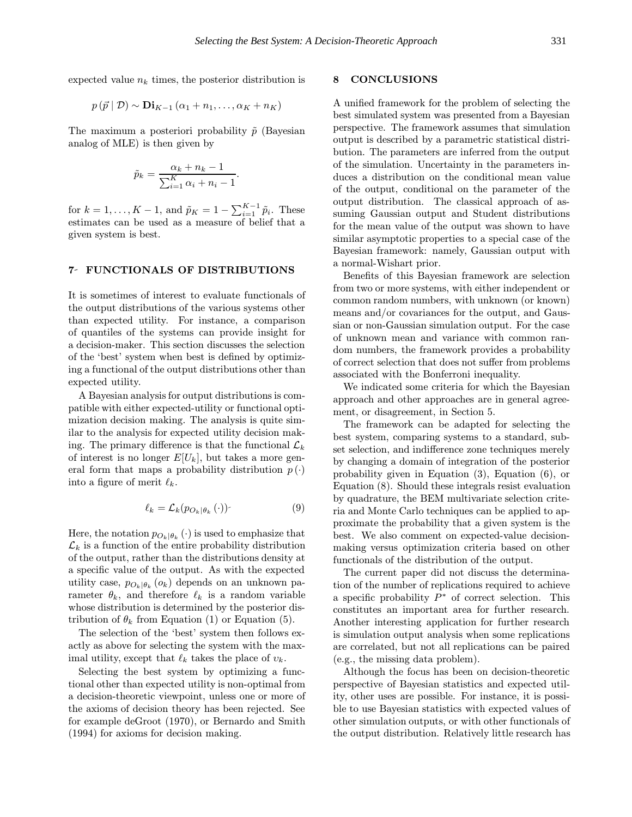expected value  $n_k$  times, the posterior distribution is

$$
p(\vec{p} \mid \mathcal{D}) \sim \mathbf{Di}_{K-1}(\alpha_1 + n_1, \ldots, \alpha_K + n_K)
$$

The maximum a posteriori probability  $\tilde{p}$  (Bayesian analog of MLE) is then given by

$$
\tilde{p}_k = \frac{\alpha_k + n_k - 1}{\sum_{i=1}^K \alpha_i + n_i - 1}.
$$

for  $k = 1, ..., K - 1$ , and  $\tilde{p}_K = 1 - \sum_{i=1}^{K-1} \tilde{p}_i$ . These estimates can be used as a measure of belief that a given system is best.

#### 7 FUNCTIONALS OF DISTRIBUTIONS

It is sometimes of interest to evaluate functionals of the output distributions of the various systems other than expected utility. For instance, a comparison of quantiles of the systems can provide insight for a decision-maker. This section discusses the selection of the 'best' system when best is defined by optimizing a functional of the output distributions other than expected utility.

A Bayesian analysis for output distributions is compatible with either expected-utility or functional optimization decision making. The analysis is quite similar to the analysis for expected utility decision making. The primary difference is that the functional  $\mathcal{L}_k$ of interest is no longer  $E[U_k]$ , but takes a more general form that maps a probability distribution  $p(\cdot)$ into a figure of merit  $\ell_k$ .

$$
\ell_k = \mathcal{L}_k(p_{O_k|\theta_k}(\cdot)) \tag{9}
$$

Here, the notation  $p_{O_k|\theta_k}(\cdot)$  is used to emphasize that  $\mathcal{L}_k$  is a function of the entire probability distribution of the output, rather than the distributions density at a specific value of the output. As with the expected utility case,  $p_{O_k|\theta_k}(o_k)$  depends on an unknown parameter  $\theta_k$ , and therefore  $\ell_k$  is a random variable whose distribution is determined by the posterior distribution of  $\theta_k$  from Equation (1) or Equation (5).

The selection of the 'best' system then follows exactly as above for selecting the system with the maximal utility, except that  $\ell_k$  takes the place of  $v_k$ .

Selecting the best system by optimizing a functional other than expected utility is non-optimal from a decision-theoretic viewpoint, unless one or more of the axioms of decision theory has been rejected. See for example deGroot (1970), or Bernardo and Smith (1994) for axioms for decision making.

# 8 CONCLUSIONS

A unified framework for the problem of selecting the best simulated system was presented from a Bayesian perspective. The framework assumes that simulation output is described by a parametric statistical distribution. The parameters are inferred from the output of the simulation. Uncertainty in the parameters induces a distribution on the conditional mean value of the output, conditional on the parameter of the output distribution. The classical approach of assuming Gaussian output and Student distributions for the mean value of the output was shown to have similar asymptotic properties to a special case of the Bayesian framework: namely, Gaussian output with a normal-Wishart prior.

Benefits of this Bayesian framework are selection from two or more systems, with either independent or common random numbers, with unknown (or known) means and/or covariances for the output, and Gaussian or non-Gaussian simulation output. For the case of unknown mean and variance with common random numbers, the framework provides a probability of correct selection that does not suffer from problems associated with the Bonferroni inequality.

We indicated some criteria for which the Bayesian approach and other approaches are in general agreement, or disagreement, in Section 5.

The framework can be adapted for selecting the best system, comparing systems to a standard, subset selection, and indifference zone techniques merely by changing a domain of integration of the posterior probability given in Equation (3), Equation (6), or Equation (8). Should these integrals resist evaluation by quadrature, the BEM multivariate selection criteria and Monte Carlo techniques can be applied to approximate the probability that a given system is the best. We also comment on expected-value decisionmaking versus optimization criteria based on other functionals of the distribution of the output.

The current paper did not discuss the determination of the number of replications required to achieve a specific probability  $P^*$  of correct selection. This constitutes an important area for further research. Another interesting application for further research is simulation output analysis when some replications are correlated, but not all replications can be paired (e.g., the missing data problem).

Although the focus has been on decision-theoretic perspective of Bayesian statistics and expected utility, other uses are possible. For instance, it is possible to use Bayesian statistics with expected values of other simulation outputs, or with other functionals of the output distribution. Relatively little research has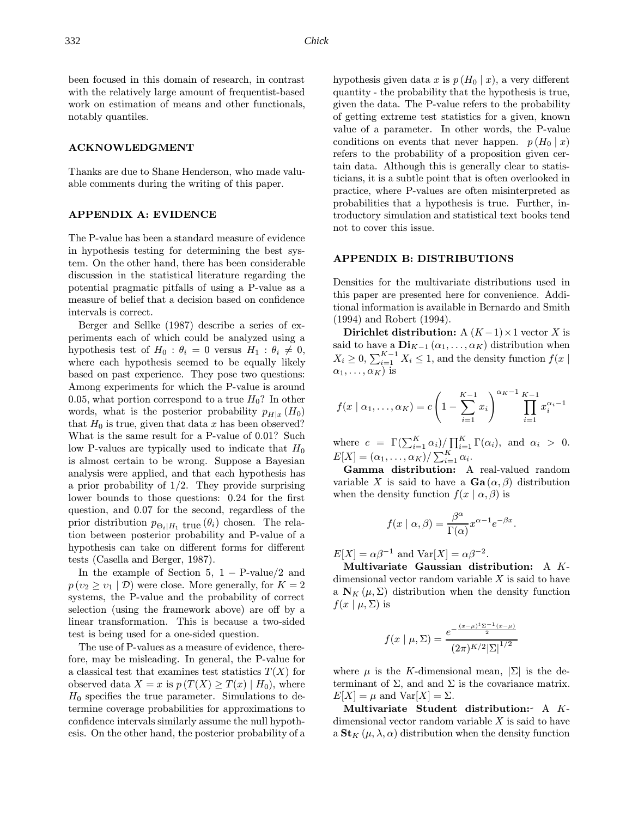been focused in this domain of research, in contrast with the relatively large amount of frequentist-based work on estimation of means and other functionals, notably quantiles.

# ACKNOWLEDGMENT

Thanks are due to Shane Henderson, who made valuable comments during the writing of this paper.

### APPENDIX A: EVIDENCE

The P-value has been a standard measure of evidence in hypothesis testing for determining the best system. On the other hand, there has been considerable discussion in the statistical literature regarding the potential pragmatic pitfalls of using a P-value as a measure of belief that a decision based on confidence intervals is correct.

Berger and Sellke (1987) describe a series of experiments each of which could be analyzed using a hypothesis test of  $H_0$ :  $\theta_i = 0$  versus  $H_1$ :  $\theta_i \neq 0$ , where each hypothesis seemed to be equally likely based on past experience. They pose two questions: Among experiments for which the P-value is around 0.05, what portion correspond to a true  $H_0$ ? In other words, what is the posterior probability  $p_{H|x}$  (H<sub>0</sub>) that  $H_0$  is true, given that data x has been observed? What is the same result for a P-value of 0.01? Such low P-values are typically used to indicate that  $H_0$ is almost certain to be wrong. Suppose a Bayesian analysis were applied, and that each hypothesis has a prior probability of  $1/2$ . They provide surprising lower bounds to those questions: 0.24 for the first question, and 0.07 for the second, regardless of the prior distribution  $p_{\Theta_i|H_1}$  true  $(\theta_i)$  chosen. The relation between posterior probability and P-value of a hypothesis can take on different forms for different tests (Casella and Berger, 1987).

In the example of Section 5,  $1 - P$ -value/2 and  $p(v_2 \geq v_1 | \mathcal{D})$  were close. More generally, for  $K = 2$ systems, the P-value and the probability of correct selection (using the framework above) are off by a linear transformation. This is because a two-sided test is being used for a one-sided question.

The use of P-values as a measure of evidence, therefore, may be misleading. In general, the P-value for a classical test that examines test statistics  $T(X)$  for observed data  $X = x$  is  $p(T(X) \geq T(x) | H_0)$ , where  $H_0$  specifies the true parameter. Simulations to determine coverage probabilities for approximations to confidence intervals similarly assume the null hypothesis. On the other hand, the posterior probability of a hypothesis given data x is  $p(H_0 | x)$ , a very different quantity - the probability that the hypothesis is true, given the data. The P-value refers to the probability of getting extreme test statistics for a given, known value of a parameter. In other words, the P-value conditions on events that never happen.  $p(H_0 | x)$ refers to the probability of a proposition given certain data. Although this is generally clear to statisticians, it is a subtle point that is often overlooked in practice, where P-values are often misinterpreted as probabilities that a hypothesis is true. Further, introductory simulation and statistical text books tend not to cover this issue.

#### APPENDIX B: DISTRIBUTIONS

Densities for the multivariate distributions used in this paper are presented here for convenience. Additional information is available in Bernardo and Smith (1994) and Robert (1994).

Dirichlet distribution:  $A (K-1) \times 1$  vector X is said to have a  $\mathbf{Di}_{K-1}(\alpha_1,\ldots,\alpha_K)$  distribution when  $X_i \geq 0$ ,  $\sum_{i=1}^{K-1} X_i \leq 1$ , and the density function  $f(x)$  $\alpha_1, \ldots, \alpha_K$ ) is

$$
f(x \mid \alpha_1, \dots, \alpha_K) = c \left( 1 - \sum_{i=1}^{K-1} x_i \right)^{\alpha_K - 1} \prod_{i=1}^{K-1} x_i^{\alpha_i - 1}
$$

where  $c = \Gamma(\sum_{i=1}^K \alpha_i) / \prod_{i=1}^K \Gamma(\alpha_i)$ , and  $\alpha_i > 0$ .  $E[X] = (\alpha_1, \ldots, \alpha_K) / \sum_{i=1}^K \alpha_i.$ 

Gamma distribution: A real-valued random variable X is said to have a  $\mathbf{Ga}(\alpha, \beta)$  distribution when the density function  $f(x | \alpha, \beta)$  is

$$
f(x \mid \alpha, \beta) = \frac{\beta^{\alpha}}{\Gamma(\alpha)} x^{\alpha - 1} e^{-\beta x}.
$$

 $E[X] = \alpha \beta^{-1}$  and  $Var[X] = \alpha \beta^{-2}$ .

Multivariate Gaussian distribution: A Kdimensional vector random variable  $X$  is said to have a  $N_K(\mu, \Sigma)$  distribution when the density function  $f(x | \mu, \Sigma)$  is

$$
f(x \mid \mu, \Sigma) = \frac{e^{-\frac{(x-\mu)^{t} \Sigma^{-1} (x-\mu)}{2}}}{(2\pi)^{K/2} |\Sigma|^{1/2}}
$$

where  $\mu$  is the K-dimensional mean,  $|\Sigma|$  is the determinant of  $\Sigma$ , and and  $\Sigma$  is the covariance matrix.  $E[X] = \mu$  and  $Var[X] = \Sigma$ .

Multivariate Student distribution: A Kdimensional vector random variable  $X$  is said to have a  $\mathbf{St}_{K}(\mu, \lambda, \alpha)$  distribution when the density function